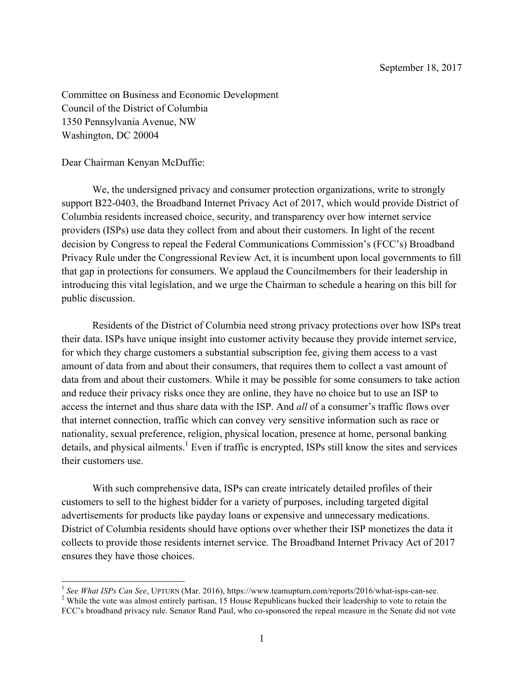Committee on Business and Economic Development Council of the District of Columbia 1350 Pennsylvania Avenue, NW Washington, DC 20004

Dear Chairman Kenyan McDuffie:

We, the undersigned privacy and consumer protection organizations, write to strongly support B22-0403, the Broadband Internet Privacy Act of 2017, which would provide District of Columbia residents increased choice, security, and transparency over how internet service providers (ISPs) use data they collect from and about their customers. In light of the recent decision by Congress to repeal the Federal Communications Commission's (FCC's) Broadband Privacy Rule under the Congressional Review Act, it is incumbent upon local governments to fill that gap in protections for consumers. We applaud the Councilmembers for their leadership in introducing this vital legislation, and we urge the Chairman to schedule a hearing on this bill for public discussion.

Residents of the District of Columbia need strong privacy protections over how ISPs treat their data. ISPs have unique insight into customer activity because they provide internet service, for which they charge customers a substantial subscription fee, giving them access to a vast amount of data from and about their consumers, that requires them to collect a vast amount of data from and about their customers. While it may be possible for some consumers to take action and reduce their privacy risks once they are online, they have no choice but to use an ISP to access the internet and thus share data with the ISP. And *all* of a consumer's traffic flows over that internet connection, traffic which can convey very sensitive information such as race or nationality, sexual preference, religion, physical location, presence at home, personal banking details, and physical ailments.<sup>1</sup> Even if traffic is encrypted, ISPs still know the sites and services their customers use.

With such comprehensive data, ISPs can create intricately detailed profiles of their customers to sell to the highest bidder for a variety of purposes, including targeted digital advertisements for products like payday loans or expensive and unnecessary medications. District of Columbia residents should have options over whether their ISP monetizes the data it collects to provide those residents internet service. The Broadband Internet Privacy Act of 2017 ensures they have those choices.

<sup>&</sup>lt;sup>1</sup> See What ISPs Can See, UPTURN (Mar. 2016), https://www.teamupturn.com/reports/2016/what-isps-can-see. <sup>2</sup> While the vote was almost entirely partisan, 15 House Republicans bucked their leadership to vote to retain the

FCC's broadband privacy rule. Senator Rand Paul, who co-sponsored the repeal measure in the Senate did not vote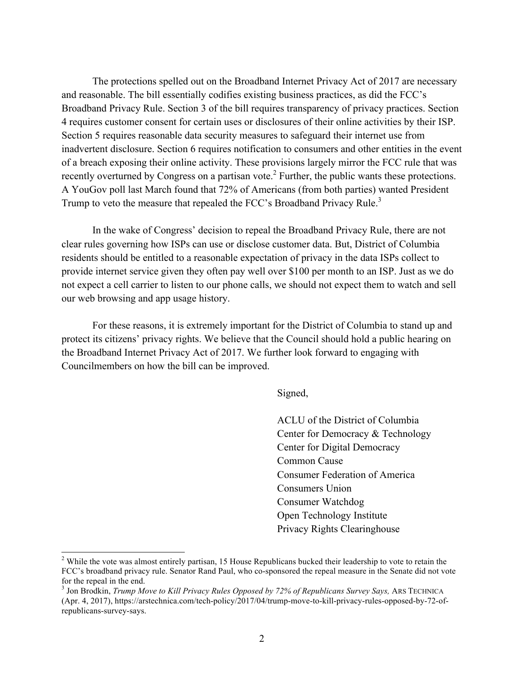The protections spelled out on the Broadband Internet Privacy Act of 2017 are necessary and reasonable. The bill essentially codifies existing business practices, as did the FCC's Broadband Privacy Rule. Section 3 of the bill requires transparency of privacy practices. Section 4 requires customer consent for certain uses or disclosures of their online activities by their ISP. Section 5 requires reasonable data security measures to safeguard their internet use from inadvertent disclosure. Section 6 requires notification to consumers and other entities in the event of a breach exposing their online activity. These provisions largely mirror the FCC rule that was recently overturned by Congress on a partisan vote.<sup>2</sup> Further, the public wants these protections. A YouGov poll last March found that 72% of Americans (from both parties) wanted President Trump to veto the measure that repealed the FCC's Broadband Privacy Rule.<sup>3</sup>

In the wake of Congress' decision to repeal the Broadband Privacy Rule, there are not clear rules governing how ISPs can use or disclose customer data. But, District of Columbia residents should be entitled to a reasonable expectation of privacy in the data ISPs collect to provide internet service given they often pay well over \$100 per month to an ISP. Just as we do not expect a cell carrier to listen to our phone calls, we should not expect them to watch and sell our web browsing and app usage history.

For these reasons, it is extremely important for the District of Columbia to stand up and protect its citizens' privacy rights. We believe that the Council should hold a public hearing on the Broadband Internet Privacy Act of 2017. We further look forward to engaging with Councilmembers on how the bill can be improved.

Signed,

ACLU of the District of Columbia Center for Democracy & Technology Center for Digital Democracy Common Cause Consumer Federation of America Consumers Union Consumer Watchdog Open Technology Institute Privacy Rights Clearinghouse

<sup>&</sup>lt;sup>2</sup> While the vote was almost entirely partisan, 15 House Republicans bucked their leadership to vote to retain the FCC's broadband privacy rule. Senator Rand Paul, who co-sponsored the repeal measure in the Senate did not vote for the repeal in the end.<br><sup>3</sup> Jon Brodkin, *Trump Move to Kill Privacy Rules Opposed by 72% of Republicans Survey Says, ARS TECHNICA* 

<sup>(</sup>Apr. 4, 2017), https://arstechnica.com/tech-policy/2017/04/trump-move-to-kill-privacy-rules-opposed-by-72-ofrepublicans-survey-says.